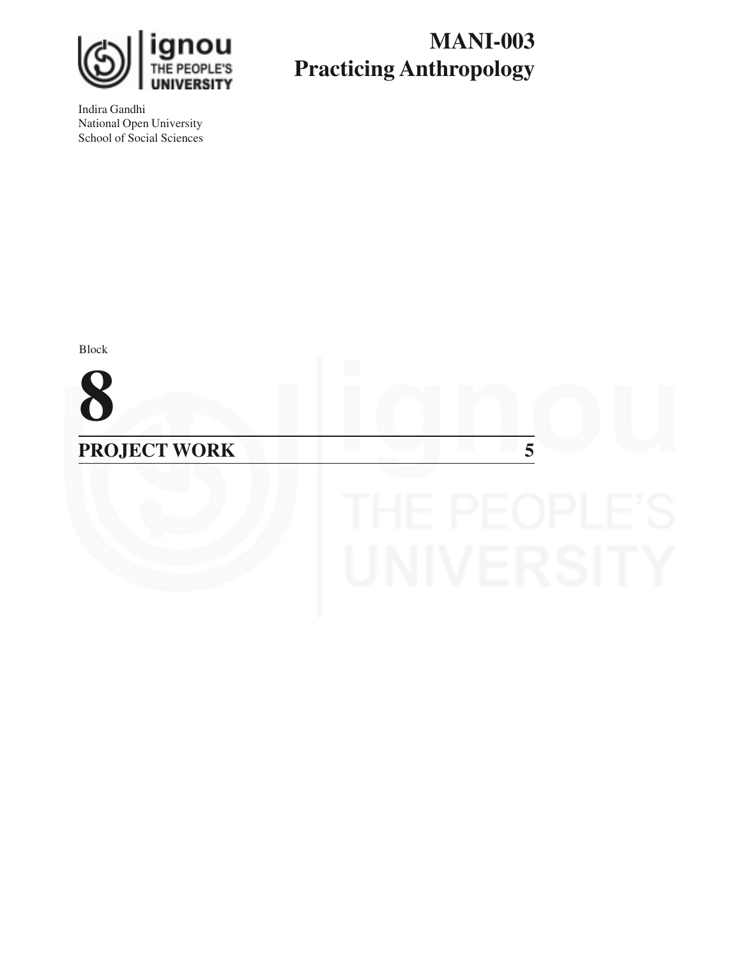

Indira Gandhi National Open University School of Social Sciences

# **MANI-003 Practicing Anthropology**

Block

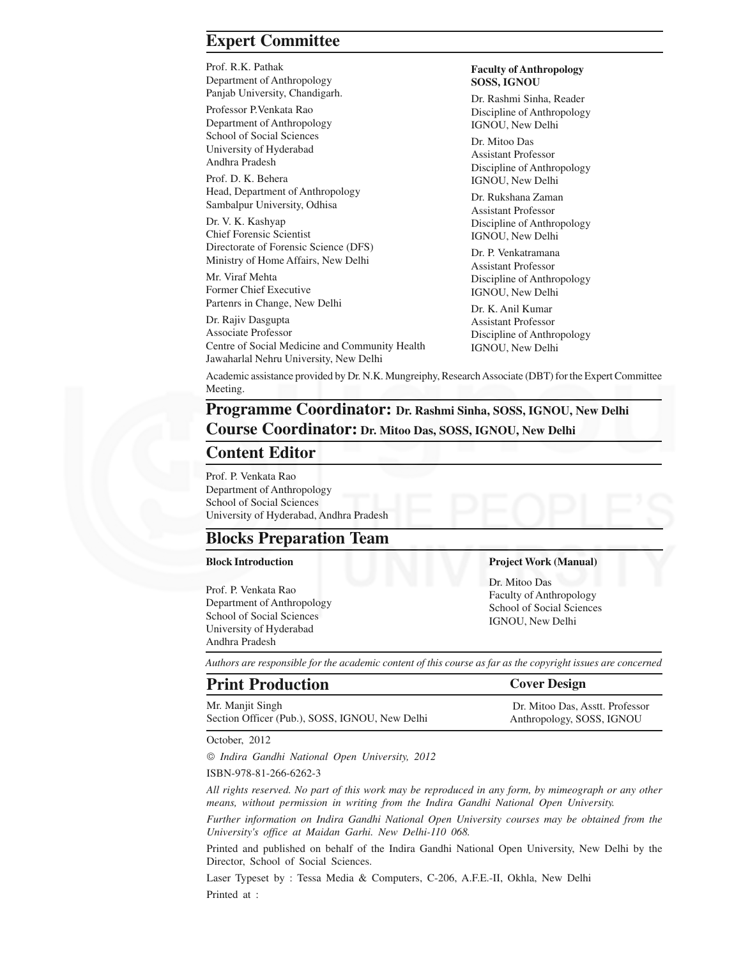#### **Expert Committee**

Prof. R.K. Pathak Department of Anthropology Panjab University, Chandigarh.

Professor P.Venkata Rao Department of Anthropology School of Social Sciences University of Hyderabad Andhra Pradesh

Prof. D. K. Behera Head, Department of Anthropology Sambalpur University, Odhisa

Dr. V. K. Kashyap Chief Forensic Scientist Directorate of Forensic Science (DFS) Ministry of Home Affairs, New Delhi

Mr. Viraf Mehta Former Chief Executive Partenrs in Change, New Delhi

Dr. Rajiv Dasgupta Associate Professor Centre of Social Medicine and Community Health Jawaharlal Nehru University, New Delhi

#### **Faculty of Anthropology SOSS, IGNOU**

Dr. Rashmi Sinha, Reader Discipline of Anthropology IGNOU, New Delhi

Dr. Mitoo Das Assistant Professor Discipline of Anthropology IGNOU, New Delhi

Dr. Rukshana Zaman Assistant Professor Discipline of Anthropology IGNOU, New Delhi

Dr. P. Venkatramana Assistant Professor Discipline of Anthropology IGNOU, New Delhi

Dr. K. Anil Kumar Assistant Professor Discipline of Anthropology IGNOU, New Delhi

Academic assistance provided by Dr. N.K. Mungreiphy, Research Associate (DBT) for the Expert Committee Meeting.

**Programme Coordinator: Dr. Rashmi Sinha, SOSS, IGNOU, New Delhi Course Coordinator: Dr. Mitoo Das, SOSS, IGNOU, New Delhi**

#### **Content Editor**

Prof. P. Venkata Rao Department of Anthropology School of Social Sciences University of Hyderabad, Andhra Pradesh

#### **Blocks Preparation Team**

#### **Block Introduction**

Prof. P. Venkata Rao Department of Anthropology School of Social Sciences University of Hyderabad Andhra Pradesh

#### **Project Work (Manual)**

Dr. Mitoo Das Faculty of Anthropology School of Social Sciences IGNOU, New Delhi

*Authors are responsible for the academic content of this course as far as the copyright issues are concerned*

| <b>Print Production</b>                        | <b>Cover Design</b>             |
|------------------------------------------------|---------------------------------|
| Mr. Manjit Singh                               | Dr. Mitoo Das, Asstt. Professor |
| Section Officer (Pub.), SOSS, IGNOU, New Delhi | Anthropology, SOSS, IGNOU       |

October, 2012

 *Indira Gandhi National Open University, 2012*

ISBN-978-81-266-6262-3

*All rights reserved. No part of this work may be reproduced in any form, by mimeograph or any other means, without permission in writing from the Indira Gandhi National Open University.*

*Further information on Indira Gandhi National Open University courses may be obtained from the University's office at Maidan Garhi. New Delhi-110 068.*

Printed and published on behalf of the Indira Gandhi National Open University, New Delhi by the Director, School of Social Sciences.

Laser Typeset by : Tessa Media & Computers, C-206, A.F.E.-II, Okhla, New Delhi Printed at :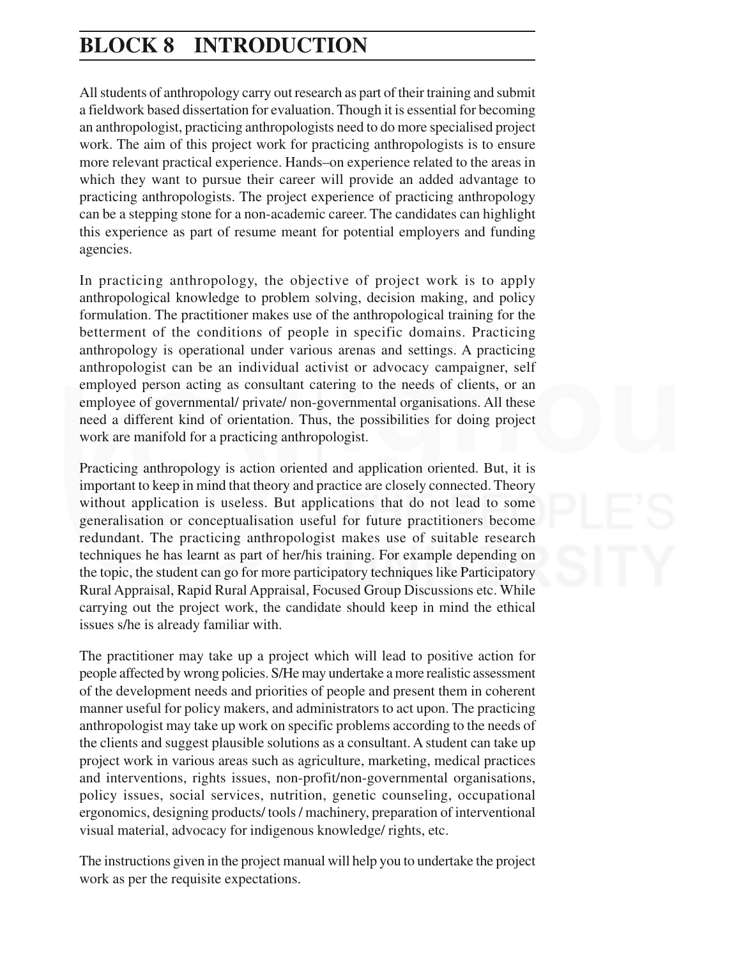# **BLOCK 8 INTRODUCTION**

All students of anthropology carry out research as part of their training and submit a fieldwork based dissertation for evaluation. Though it is essential for becoming an anthropologist, practicing anthropologists need to do more specialised project work. The aim of this project work for practicing anthropologists is to ensure more relevant practical experience. Hands–on experience related to the areas in which they want to pursue their career will provide an added advantage to practicing anthropologists. The project experience of practicing anthropology can be a stepping stone for a non-academic career. The candidates can highlight this experience as part of resume meant for potential employers and funding agencies.

In practicing anthropology, the objective of project work is to apply anthropological knowledge to problem solving, decision making, and policy formulation. The practitioner makes use of the anthropological training for the betterment of the conditions of people in specific domains. Practicing anthropology is operational under various arenas and settings. A practicing anthropologist can be an individual activist or advocacy campaigner, self employed person acting as consultant catering to the needs of clients, or an employee of governmental/ private/ non-governmental organisations. All these need a different kind of orientation. Thus, the possibilities for doing project work are manifold for a practicing anthropologist.

Practicing anthropology is action oriented and application oriented. But, it is important to keep in mind that theory and practice are closely connected. Theory without application is useless. But applications that do not lead to some generalisation or conceptualisation useful for future practitioners become redundant. The practicing anthropologist makes use of suitable research techniques he has learnt as part of her/his training. For example depending on the topic, the student can go for more participatory techniques like Participatory Rural Appraisal, Rapid Rural Appraisal, Focused Group Discussions etc. While carrying out the project work, the candidate should keep in mind the ethical issues s/he is already familiar with.

The practitioner may take up a project which will lead to positive action for people affected by wrong policies. S/He may undertake a more realistic assessment of the development needs and priorities of people and present them in coherent manner useful for policy makers, and administrators to act upon. The practicing anthropologist may take up work on specific problems according to the needs of the clients and suggest plausible solutions as a consultant. A student can take up project work in various areas such as agriculture, marketing, medical practices and interventions, rights issues, non-profit/non-governmental organisations, policy issues, social services, nutrition, genetic counseling, occupational ergonomics, designing products/ tools / machinery, preparation of interventional visual material, advocacy for indigenous knowledge/ rights, etc.

The instructions given in the project manual will help you to undertake the project work as per the requisite expectations.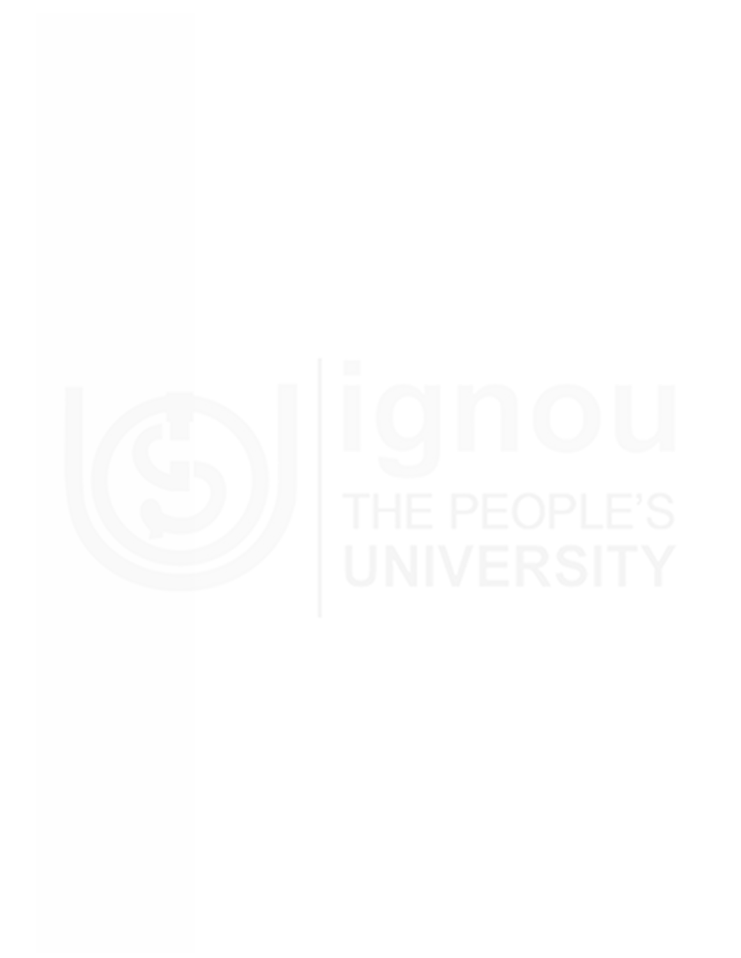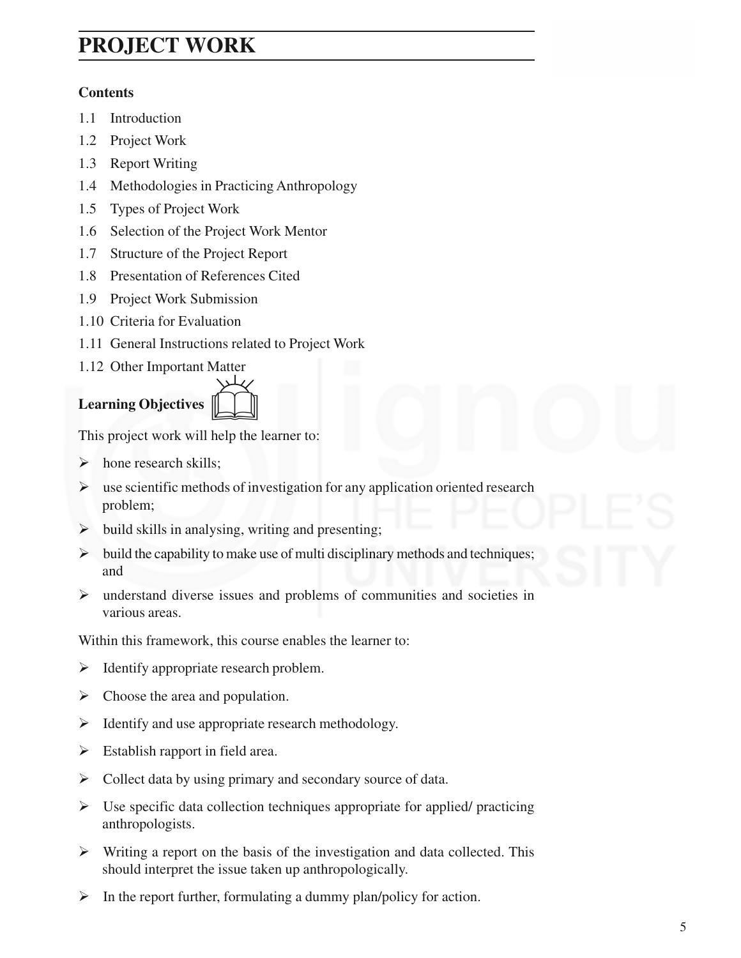# **Project Work PROJECT WORK**

## **Contents**

- 1.1 Introduction
- 1.2 Project Work
- 1.3 Report Writing
- 1.4 Methodologies in Practicing Anthropology
- 1.5 Types of Project Work
- 1.6 Selection of the Project Work Mentor
- 1.7 Structure of the Project Report
- 1.8 Presentation of References Cited
- 1.9 Project Work Submission
- 1.10 Criteria for Evaluation
- 1.11 General Instructions related to Project Work
- 1.12 Other Important Matter



This project work will help the learner to:

- $\triangleright$  hone research skills:
- $\triangleright$  use scientific methods of investigation for any application oriented research problem;
- $\triangleright$  build skills in analysing, writing and presenting;
- $\triangleright$  build the capability to make use of multi disciplinary methods and techniques; and
- Ø understand diverse issues and problems of communities and societies in various areas.

Within this framework, this course enables the learner to:

- $\triangleright$  Identify appropriate research problem.
- $\triangleright$  Choose the area and population.
- $\triangleright$  Identify and use appropriate research methodology.
- $\triangleright$  Establish rapport in field area.
- $\triangleright$  Collect data by using primary and secondary source of data.
- $\triangleright$  Use specific data collection techniques appropriate for applied/ practicing anthropologists.
- $\triangleright$  Writing a report on the basis of the investigation and data collected. This should interpret the issue taken up anthropologically.
- $\triangleright$  In the report further, formulating a dummy plan/policy for action.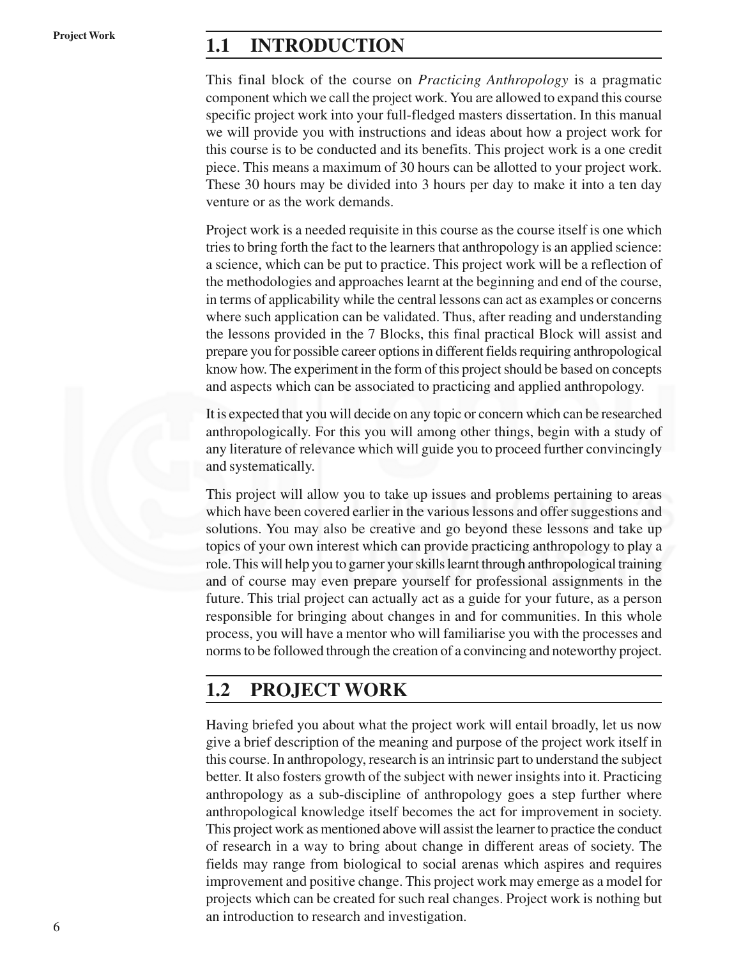# **Project Work 1.1 INTRODUCTION**

This final block of the course on *Practicing Anthropology* is a pragmatic component which we call the project work. You are allowed to expand this course specific project work into your full-fledged masters dissertation. In this manual we will provide you with instructions and ideas about how a project work for this course is to be conducted and its benefits. This project work is a one credit piece. This means a maximum of 30 hours can be allotted to your project work. These 30 hours may be divided into 3 hours per day to make it into a ten day venture or as the work demands.

Project work is a needed requisite in this course as the course itself is one which tries to bring forth the fact to the learners that anthropology is an applied science: a science, which can be put to practice. This project work will be a reflection of the methodologies and approaches learnt at the beginning and end of the course, in terms of applicability while the central lessons can act as examples or concerns where such application can be validated. Thus, after reading and understanding the lessons provided in the 7 Blocks, this final practical Block will assist and prepare you for possible career options in different fields requiring anthropological know how. The experiment in the form of this project should be based on concepts and aspects which can be associated to practicing and applied anthropology.

It is expected that you will decide on any topic or concern which can be researched anthropologically. For this you will among other things, begin with a study of any literature of relevance which will guide you to proceed further convincingly and systematically.

This project will allow you to take up issues and problems pertaining to areas which have been covered earlier in the various lessons and offer suggestions and solutions. You may also be creative and go beyond these lessons and take up topics of your own interest which can provide practicing anthropology to play a role. This will help you to garner your skills learnt through anthropological training and of course may even prepare yourself for professional assignments in the future. This trial project can actually act as a guide for your future, as a person responsible for bringing about changes in and for communities. In this whole process, you will have a mentor who will familiarise you with the processes and norms to be followed through the creation of a convincing and noteworthy project.

# **1.2 PROJECT WORK**

Having briefed you about what the project work will entail broadly, let us now give a brief description of the meaning and purpose of the project work itself in this course. In anthropology, research is an intrinsic part to understand the subject better. It also fosters growth of the subject with newer insights into it. Practicing anthropology as a sub-discipline of anthropology goes a step further where anthropological knowledge itself becomes the act for improvement in society. This project work as mentioned above will assist the learner to practice the conduct of research in a way to bring about change in different areas of society. The fields may range from biological to social arenas which aspires and requires improvement and positive change. This project work may emerge as a model for projects which can be created for such real changes. Project work is nothing but an introduction to research and investigation.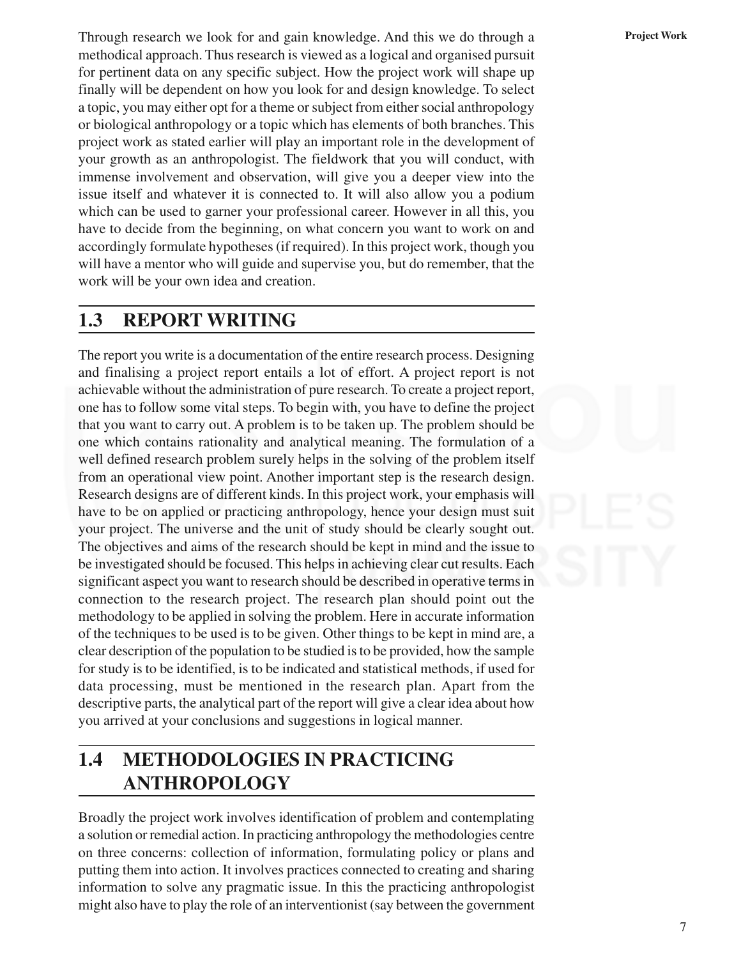Through research we look for and gain knowledge. And this we do through a **Project Work** methodical approach. Thus research is viewed as a logical and organised pursuit for pertinent data on any specific subject. How the project work will shape up finally will be dependent on how you look for and design knowledge. To select a topic, you may either opt for a theme or subject from either social anthropology or biological anthropology or a topic which has elements of both branches. This project work as stated earlier will play an important role in the development of your growth as an anthropologist. The fieldwork that you will conduct, with immense involvement and observation, will give you a deeper view into the issue itself and whatever it is connected to. It will also allow you a podium which can be used to garner your professional career. However in all this, you have to decide from the beginning, on what concern you want to work on and accordingly formulate hypotheses (if required). In this project work, though you will have a mentor who will guide and supervise you, but do remember, that the work will be your own idea and creation.

## **1.3 REPORT WRITING**

The report you write is a documentation of the entire research process. Designing and finalising a project report entails a lot of effort. A project report is not achievable without the administration of pure research. To create a project report, one has to follow some vital steps. To begin with, you have to define the project that you want to carry out. A problem is to be taken up. The problem should be one which contains rationality and analytical meaning. The formulation of a well defined research problem surely helps in the solving of the problem itself from an operational view point. Another important step is the research design. Research designs are of different kinds. In this project work, your emphasis will have to be on applied or practicing anthropology, hence your design must suit your project. The universe and the unit of study should be clearly sought out. The objectives and aims of the research should be kept in mind and the issue to be investigated should be focused. This helps in achieving clear cut results. Each significant aspect you want to research should be described in operative terms in connection to the research project. The research plan should point out the methodology to be applied in solving the problem. Here in accurate information of the techniques to be used is to be given. Other things to be kept in mind are, a clear description of the population to be studied is to be provided, how the sample for study is to be identified, is to be indicated and statistical methods, if used for data processing, must be mentioned in the research plan. Apart from the descriptive parts, the analytical part of the report will give a clear idea about how you arrived at your conclusions and suggestions in logical manner.

# **1.4 METHODOLOGIES IN PRACTICING ANTHROPOLOGY**

Broadly the project work involves identification of problem and contemplating a solution or remedial action. In practicing anthropology the methodologies centre on three concerns: collection of information, formulating policy or plans and putting them into action. It involves practices connected to creating and sharing information to solve any pragmatic issue. In this the practicing anthropologist might also have to play the role of an interventionist (say between the government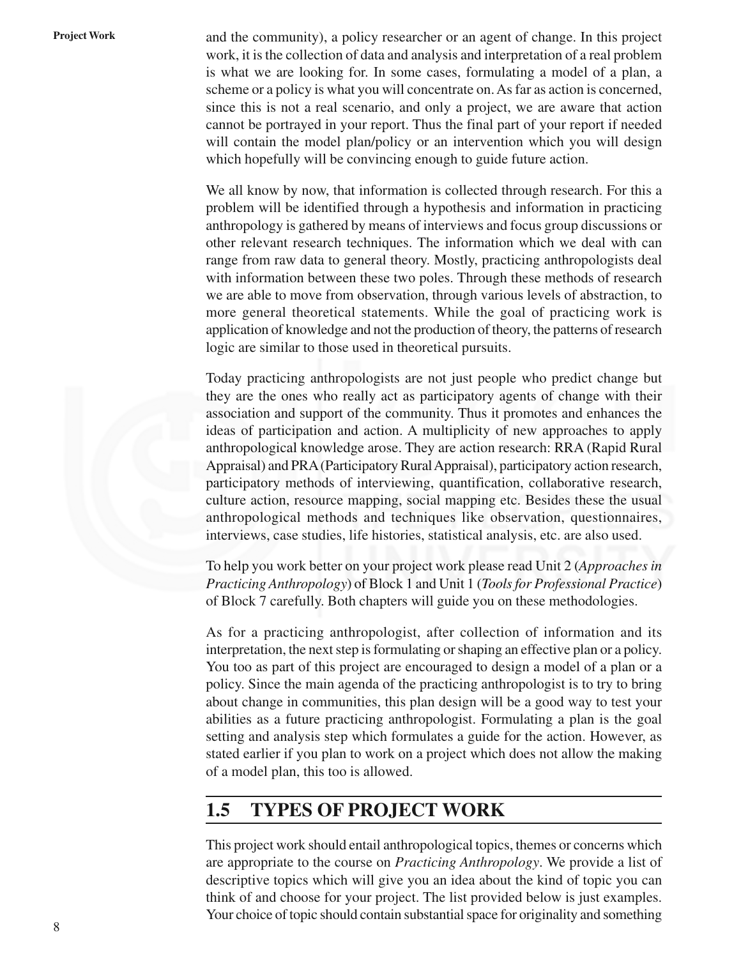**Project Work** and the community), a policy researcher or an agent of change. In this project work, it is the collection of data and analysis and interpretation of a real problem is what we are looking for. In some cases, formulating a model of a plan, a scheme or a policy is what you will concentrate on. As far as action is concerned, since this is not a real scenario, and only a project, we are aware that action cannot be portrayed in your report. Thus the final part of your report if needed will contain the model plan/policy or an intervention which you will design which hopefully will be convincing enough to guide future action.

> We all know by now, that information is collected through research. For this a problem will be identified through a hypothesis and information in practicing anthropology is gathered by means of interviews and focus group discussions or other relevant research techniques. The information which we deal with can range from raw data to general theory. Mostly, practicing anthropologists deal with information between these two poles. Through these methods of research we are able to move from observation, through various levels of abstraction, to more general theoretical statements. While the goal of practicing work is application of knowledge and not the production of theory, the patterns of research logic are similar to those used in theoretical pursuits.

> Today practicing anthropologists are not just people who predict change but they are the ones who really act as participatory agents of change with their association and support of the community. Thus it promotes and enhances the ideas of participation and action. A multiplicity of new approaches to apply anthropological knowledge arose. They are action research: RRA (Rapid Rural Appraisal) and PRA (Participatory Rural Appraisal), participatory action research, participatory methods of interviewing, quantification, collaborative research, culture action, resource mapping, social mapping etc. Besides these the usual anthropological methods and techniques like observation, questionnaires, interviews, case studies, life histories, statistical analysis, etc. are also used.

> To help you work better on your project work please read Unit 2 (*Approaches in Practicing Anthropology*) of Block 1 and Unit 1 (*Tools for Professional Practice*) of Block 7 carefully. Both chapters will guide you on these methodologies.

> As for a practicing anthropologist, after collection of information and its interpretation, the next step is formulating or shaping an effective plan or a policy. You too as part of this project are encouraged to design a model of a plan or a policy. Since the main agenda of the practicing anthropologist is to try to bring about change in communities, this plan design will be a good way to test your abilities as a future practicing anthropologist. Formulating a plan is the goal setting and analysis step which formulates a guide for the action. However, as stated earlier if you plan to work on a project which does not allow the making of a model plan, this too is allowed.

## **1.5 TYPES OF PROJECT WORK**

This project work should entail anthropological topics, themes or concerns which are appropriate to the course on *Practicing Anthropology*. We provide a list of descriptive topics which will give you an idea about the kind of topic you can think of and choose for your project. The list provided below is just examples. Your choice of topic should contain substantial space for originality and something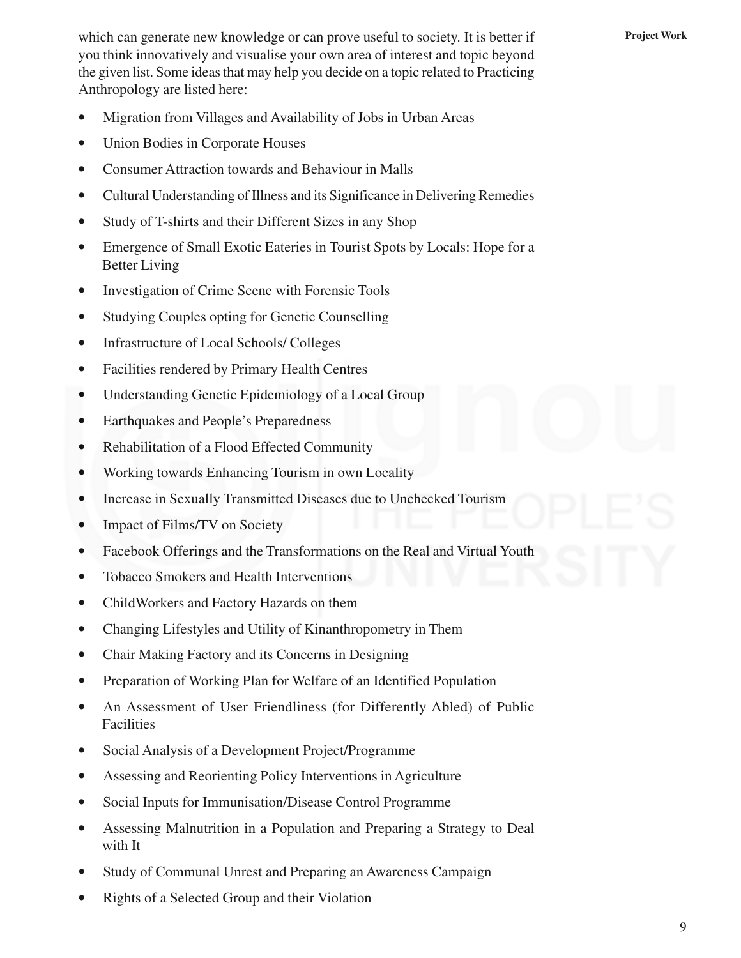which can generate new knowledge or can prove useful to society. It is better if **Project Work** you think innovatively and visualise your own area of interest and topic beyond the given list. Some ideas that may help you decide on a topic related to Practicing Anthropology are listed here:

- Migration from Villages and Availability of Jobs in Urban Areas
- Union Bodies in Corporate Houses
- Consumer Attraction towards and Behaviour in Malls
- Cultural Understanding of Illness and its Significance in Delivering Remedies
- Study of T-shirts and their Different Sizes in any Shop
- Emergence of Small Exotic Eateries in Tourist Spots by Locals: Hope for a Better Living
- Investigation of Crime Scene with Forensic Tools
- Studying Couples opting for Genetic Counselling
- Infrastructure of Local Schools/ Colleges
- Facilities rendered by Primary Health Centres
- Understanding Genetic Epidemiology of a Local Group
- Earthquakes and People's Preparedness
- Rehabilitation of a Flood Effected Community
- Working towards Enhancing Tourism in own Locality
- Increase in Sexually Transmitted Diseases due to Unchecked Tourism
- Impact of Films/TV on Society
- Facebook Offerings and the Transformations on the Real and Virtual Youth
- Tobacco Smokers and Health Interventions
- ChildWorkers and Factory Hazards on them
- Changing Lifestyles and Utility of Kinanthropometry in Them
- Chair Making Factory and its Concerns in Designing
- Preparation of Working Plan for Welfare of an Identified Population
- An Assessment of User Friendliness (for Differently Abled) of Public Facilities
- Social Analysis of a Development Project/Programme
- Assessing and Reorienting Policy Interventions in Agriculture
- Social Inputs for Immunisation/Disease Control Programme
- Assessing Malnutrition in a Population and Preparing a Strategy to Deal with It
- Study of Communal Unrest and Preparing an Awareness Campaign
- Rights of a Selected Group and their Violation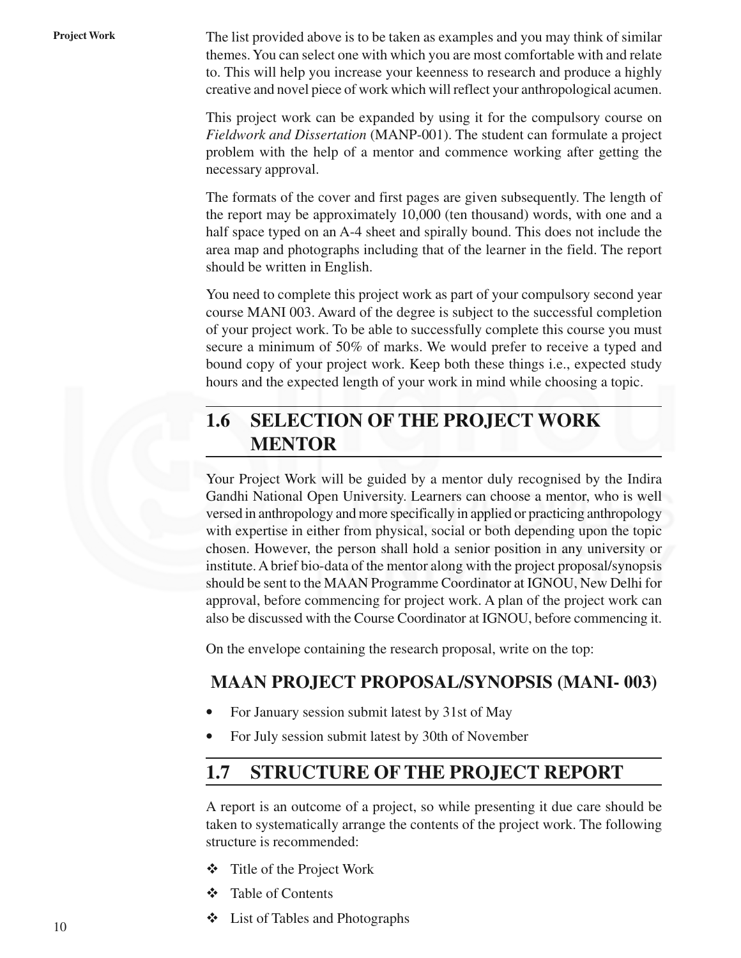**Project Work** The list provided above is to be taken as examples and you may think of similar themes. You can select one with which you are most comfortable with and relate to. This will help you increase your keenness to research and produce a highly creative and novel piece of work which will reflect your anthropological acumen.

> This project work can be expanded by using it for the compulsory course on *Fieldwork and Dissertation* (MANP-001). The student can formulate a project problem with the help of a mentor and commence working after getting the necessary approval.

> The formats of the cover and first pages are given subsequently. The length of the report may be approximately 10,000 (ten thousand) words, with one and a half space typed on an A-4 sheet and spirally bound. This does not include the area map and photographs including that of the learner in the field. The report should be written in English.

> You need to complete this project work as part of your compulsory second year course MANI 003. Award of the degree is subject to the successful completion of your project work. To be able to successfully complete this course you must secure a minimum of 50% of marks. We would prefer to receive a typed and bound copy of your project work. Keep both these things i.e., expected study hours and the expected length of your work in mind while choosing a topic.

# **1.6 SELECTION OF THE PROJECT WORK MENTOR**

Your Project Work will be guided by a mentor duly recognised by the Indira Gandhi National Open University. Learners can choose a mentor, who is well versed in anthropology and more specifically in applied or practicing anthropology with expertise in either from physical, social or both depending upon the topic chosen. However, the person shall hold a senior position in any university or institute. A brief bio-data of the mentor along with the project proposal/synopsis should be sent to the MAAN Programme Coordinator at IGNOU, New Delhi for approval, before commencing for project work. A plan of the project work can also be discussed with the Course Coordinator at IGNOU, before commencing it.

On the envelope containing the research proposal, write on the top:

# **MAAN PROJECT PROPOSAL/SYNOPSIS (MANI- 003)**

- For January session submit latest by 31st of May
- For July session submit latest by 30th of November

# **1.7 STRUCTURE OF THE PROJECT REPORT**

A report is an outcome of a project, so while presenting it due care should be taken to systematically arrange the contents of the project work. The following structure is recommended:

- $\div$  Title of the Project Work
- $\div$  Table of Contents
- $\triangleleft$  List of Tables and Photographs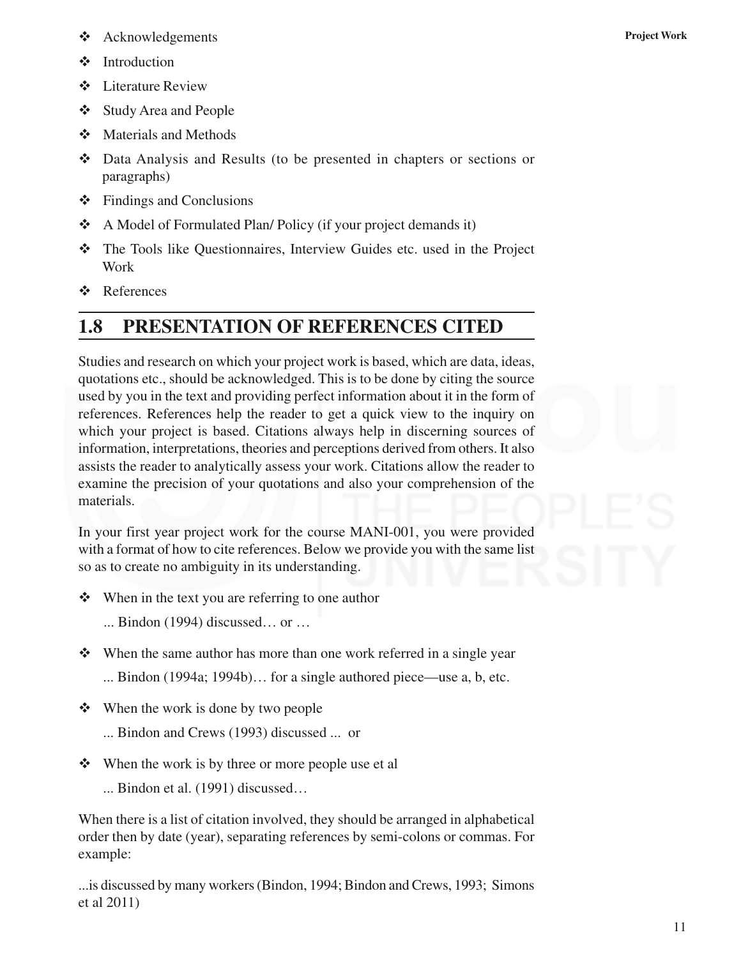- v Acknowledgements **Project Work**
- $\div$  Introduction
- $\div$  Literature Review
- ❖ Study Area and People
- $\div$  Materials and Methods
- v Data Analysis and Results (to be presented in chapters or sections or paragraphs)
- $\div$  Findings and Conclusions
- A Model of Formulated Plan/ Policy (if your project demands it)
- $\div$  The Tools like Questionnaires, Interview Guides etc. used in the Project Work
- v References

# **1.8 PRESENTATION OF REFERENCES CITED**

Studies and research on which your project work is based, which are data, ideas, quotations etc., should be acknowledged. This is to be done by citing the source used by you in the text and providing perfect information about it in the form of references. References help the reader to get a quick view to the inquiry on which your project is based. Citations always help in discerning sources of information, interpretations, theories and perceptions derived from others. It also assists the reader to analytically assess your work. Citations allow the reader to examine the precision of your quotations and also your comprehension of the materials.

In your first year project work for the course MANI-001, you were provided with a format of how to cite references. Below we provide you with the same list so as to create no ambiguity in its understanding.

- $\triangle$  When in the text you are referring to one author
	- ... Bindon (1994) discussed… or …
- $\bullet$  When the same author has more than one work referred in a single year
	- ... Bindon (1994a; 1994b)… for a single authored piece—use a, b, etc.
- $\triangleleft$  When the work is done by two people
	- ... Bindon and Crews (1993) discussed ... or
- $\triangleleft$  When the work is by three or more people use et al
	- ... Bindon et al. (1991) discussed…

When there is a list of citation involved, they should be arranged in alphabetical order then by date (year), separating references by semi-colons or commas. For example:

...is discussed by many workers (Bindon, 1994; Bindon and Crews, 1993; Simons et al 2011)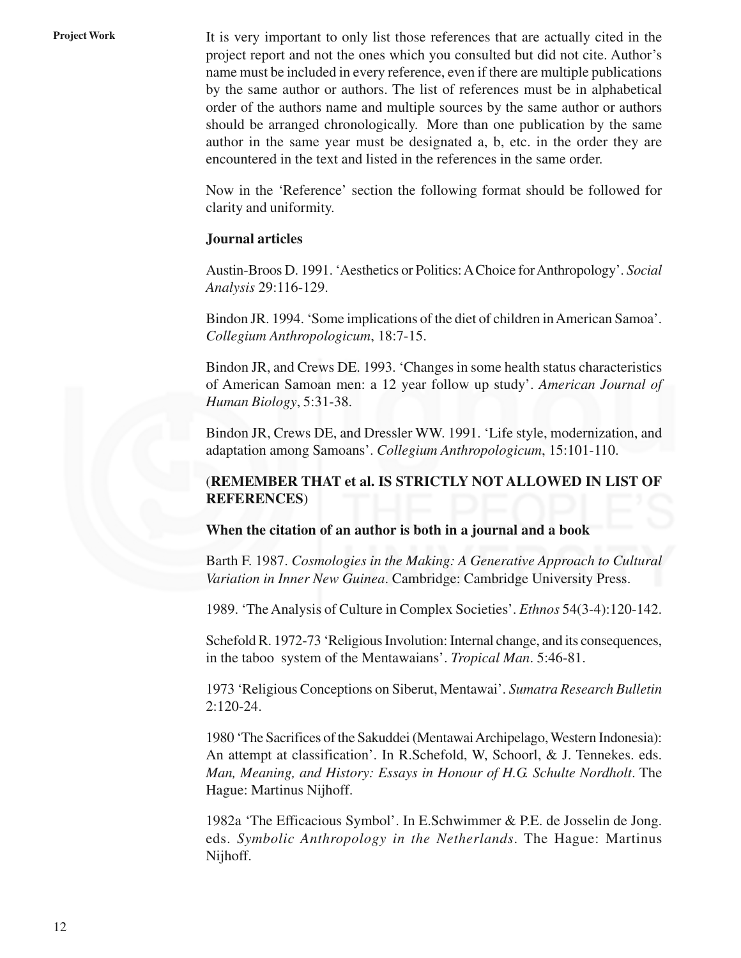**Project Work** It is very important to only list those references that are actually cited in the project report and not the ones which you consulted but did not cite. Author's name must be included in every reference, even if there are multiple publications by the same author or authors. The list of references must be in alphabetical order of the authors name and multiple sources by the same author or authors should be arranged chronologically. More than one publication by the same author in the same year must be designated a, b, etc. in the order they are encountered in the text and listed in the references in the same order.

> Now in the 'Reference' section the following format should be followed for clarity and uniformity.

#### **Journal articles**

Austin-Broos D. 1991. 'Aesthetics or Politics: A Choice for Anthropology'. *Social Analysis* 29:116-129.

Bindon JR. 1994. 'Some implications of the diet of children in American Samoa'. *Collegium Anthropologicum*, 18:7-15.

Bindon JR, and Crews DE. 1993. 'Changes in some health status characteristics of American Samoan men: a 12 year follow up study'. *American Journal of Human Biology*, 5:31-38.

Bindon JR, Crews DE, and Dressler WW. 1991. 'Life style, modernization, and adaptation among Samoans'. *Collegium Anthropologicum*, 15:101-110.

#### (**REMEMBER THAT et al. IS STRICTLY NOT ALLOWED IN LIST OF REFERENCES**)

#### **When the citation of an author is both in a journal and a book**

Barth F. 1987. *Cosmologies in the Making: A Generative Approach to Cultural Variation in Inner New Guinea*. Cambridge: Cambridge University Press.

1989. 'The Analysis of Culture in Complex Societies'. *Ethnos* 54(3-4):120-142.

Schefold R. 1972-73 'Religious Involution: Internal change, and its consequences, in the taboo system of the Mentawaians'. *Tropical Man*. 5:46-81.

1973 'Religious Conceptions on Siberut, Mentawai'. *Sumatra Research Bulletin* 2:120-24.

1980 'The Sacrifices of the Sakuddei (Mentawai Archipelago, Western Indonesia): An attempt at classification'. In R.Schefold, W, Schoorl, & J. Tennekes. eds. *Man, Meaning, and History: Essays in Honour of H.G. Schulte Nordholt*. The Hague: Martinus Nijhoff.

1982a 'The Efficacious Symbol'. In E.Schwimmer & P.E. de Josselin de Jong. eds. *Symbolic Anthropology in the Netherlands*. The Hague: Martinus Nijhoff.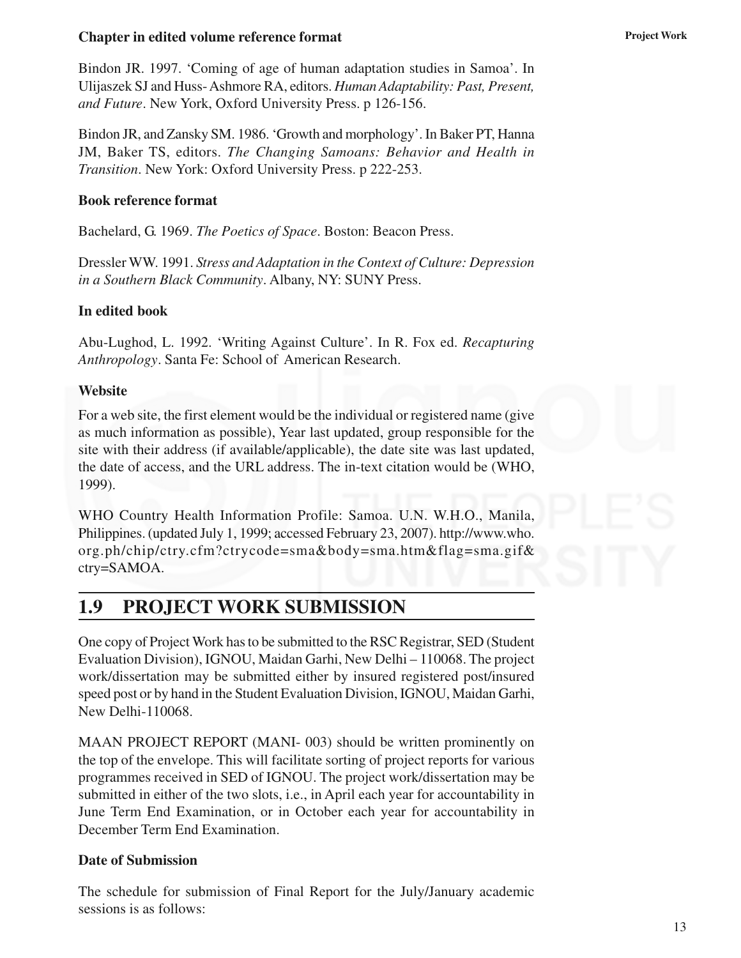#### **Chapter in edited volume reference format Project Work** Project Work

Bindon JR. 1997. 'Coming of age of human adaptation studies in Samoa'. In Ulijaszek SJ and Huss- Ashmore RA, editors. *Human Adaptability: Past, Present, and Future*. New York, Oxford University Press. p 126-156.

Bindon JR, and Zansky SM. 1986. 'Growth and morphology'. In Baker PT, Hanna JM, Baker TS, editors. *The Changing Samoans: Behavior and Health in Transition*. New York: Oxford University Press. p 222-253.

### **Book reference format**

Bachelard, G. 1969. *The Poetics of Space*. Boston: Beacon Press.

Dressler WW. 1991. *Stress and Adaptation in the Context of Culture: Depression in a Southern Black Community*. Albany, NY: SUNY Press.

#### **In edited book**

Abu-Lughod, L. 1992. 'Writing Against Culture'. In R. Fox ed. *Recapturing Anthropology*. Santa Fe: School of American Research.

#### **Website**

For a web site, the first element would be the individual or registered name (give as much information as possible), Year last updated, group responsible for the site with their address (if available/applicable), the date site was last updated, the date of access, and the URL address. The in-text citation would be (WHO, 1999).

WHO Country Health Information Profile: Samoa. U.N. W.H.O., Manila, Philippines. (updated July 1, 1999; accessed February 23, 2007). http://www.who. org.ph/chip/ctry.cfm?ctrycode=sma&body=sma.htm&flag=sma.gif& ctry=SAMOA.

# **1.9 PROJECT WORK SUBMISSION**

One copy of Project Work has to be submitted to the RSC Registrar, SED (Student Evaluation Division), IGNOU, Maidan Garhi, New Delhi – 110068. The project work/dissertation may be submitted either by insured registered post/insured speed post or by hand in the Student Evaluation Division, IGNOU, Maidan Garhi, New Delhi-110068.

MAAN PROJECT REPORT (MANI- 003) should be written prominently on the top of the envelope. This will facilitate sorting of project reports for various programmes received in SED of IGNOU. The project work/dissertation may be submitted in either of the two slots, i.e., in April each year for accountability in June Term End Examination, or in October each year for accountability in December Term End Examination.

### **Date of Submission**

The schedule for submission of Final Report for the July/January academic sessions is as follows: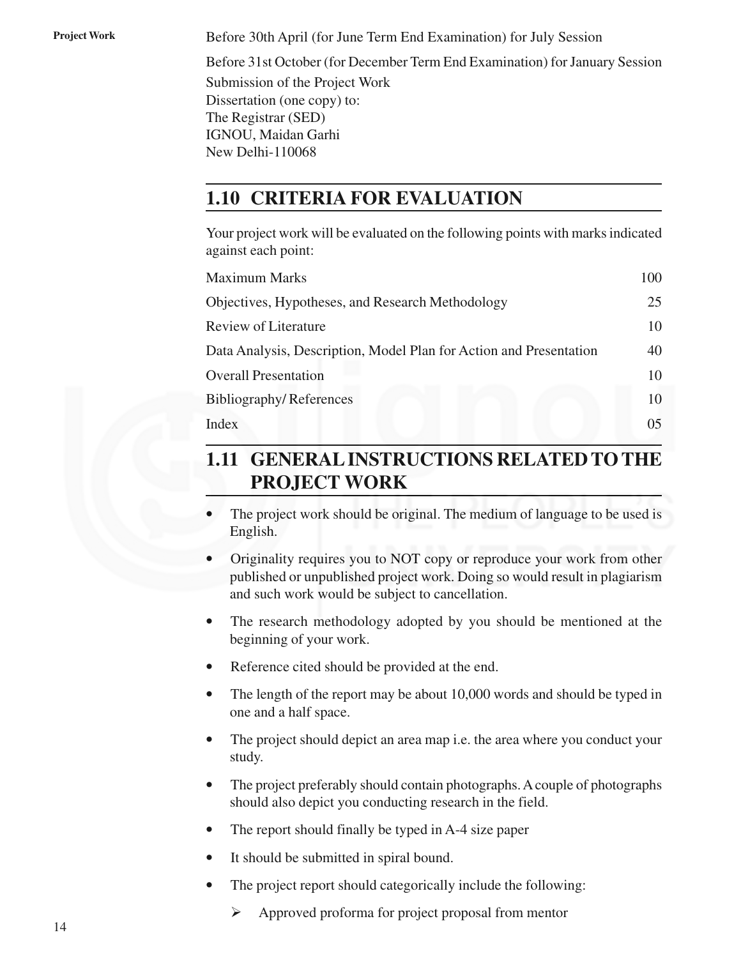**Project Work** Before 30th April (for June Term End Examination) for July Session

Before 31st October (for December Term End Examination) for January Session Submission of the Project Work Dissertation (one copy) to: The Registrar (SED) IGNOU, Maidan Garhi New Delhi-110068

# **1.10 CRITERIA FOR EVALUATION**

Your project work will be evaluated on the following points with marks indicated against each point:

| <b>Maximum Marks</b>                                               | 100 |
|--------------------------------------------------------------------|-----|
| Objectives, Hypotheses, and Research Methodology                   | 25  |
| Review of Literature                                               | 10  |
| Data Analysis, Description, Model Plan for Action and Presentation | 40  |
| <b>Overall Presentation</b>                                        | 10  |
| <b>Bibliography/References</b>                                     | 10  |
| Index                                                              | 05  |

# **1.11 GENERAL INSTRUCTIONS RELATED TO THE PROJECT WORK**

- The project work should be original. The medium of language to be used is English.
- Originality requires you to NOT copy or reproduce your work from other published or unpublished project work. Doing so would result in plagiarism and such work would be subject to cancellation.
- The research methodology adopted by you should be mentioned at the beginning of your work.
- Reference cited should be provided at the end.
- The length of the report may be about 10,000 words and should be typed in one and a half space.
- The project should depict an area map i.e. the area where you conduct your study.
- The project preferably should contain photographs. A couple of photographs should also depict you conducting research in the field.
- The report should finally be typed in A-4 size paper
- It should be submitted in spiral bound.
- The project report should categorically include the following:
	- Ø Approved proforma for project proposal from mentor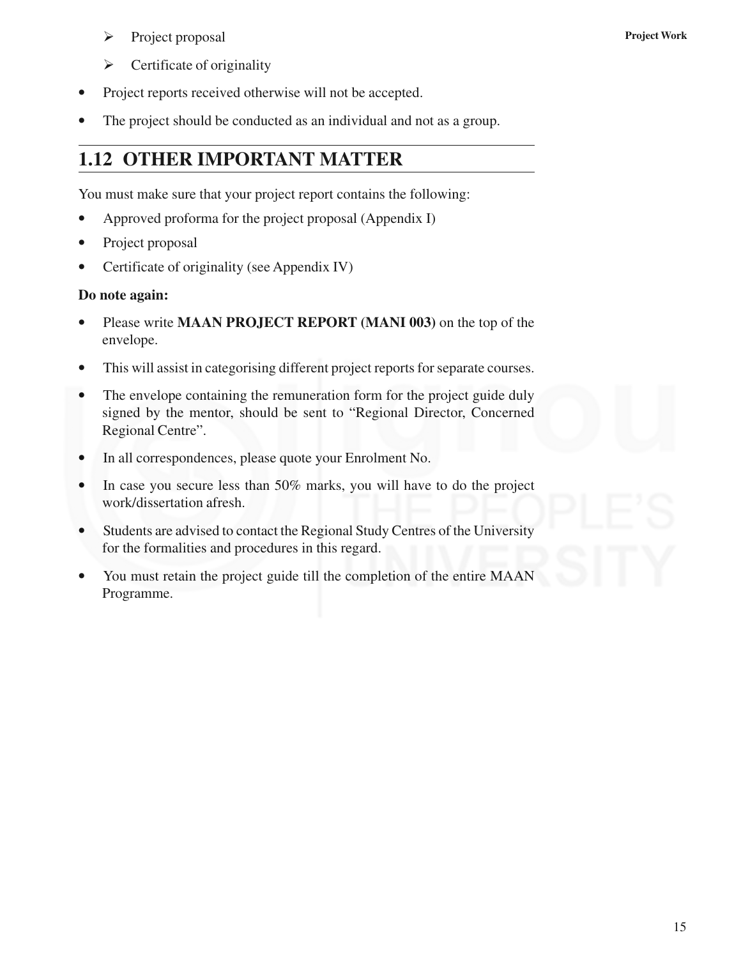- Ø Project proposal **Project Work**
- $\triangleright$  Certificate of originality
- Project reports received otherwise will not be accepted.
- The project should be conducted as an individual and not as a group.

# **1.12 OTHER IMPORTANT MATTER**

You must make sure that your project report contains the following:

- Approved proforma for the project proposal (Appendix I)
- Project proposal
- Certificate of originality (see Appendix IV)

#### **Do note again:**

- Please write **MAAN PROJECT REPORT (MANI 003)** on the top of the envelope.
- This will assist in categorising different project reports for separate courses.
- The envelope containing the remuneration form for the project guide duly signed by the mentor, should be sent to "Regional Director, Concerned Regional Centre".
- In all correspondences, please quote your Enrolment No.
- In case you secure less than 50% marks, you will have to do the project work/dissertation afresh.
- Students are advised to contact the Regional Study Centres of the University for the formalities and procedures in this regard.
- You must retain the project guide till the completion of the entire MAAN Programme.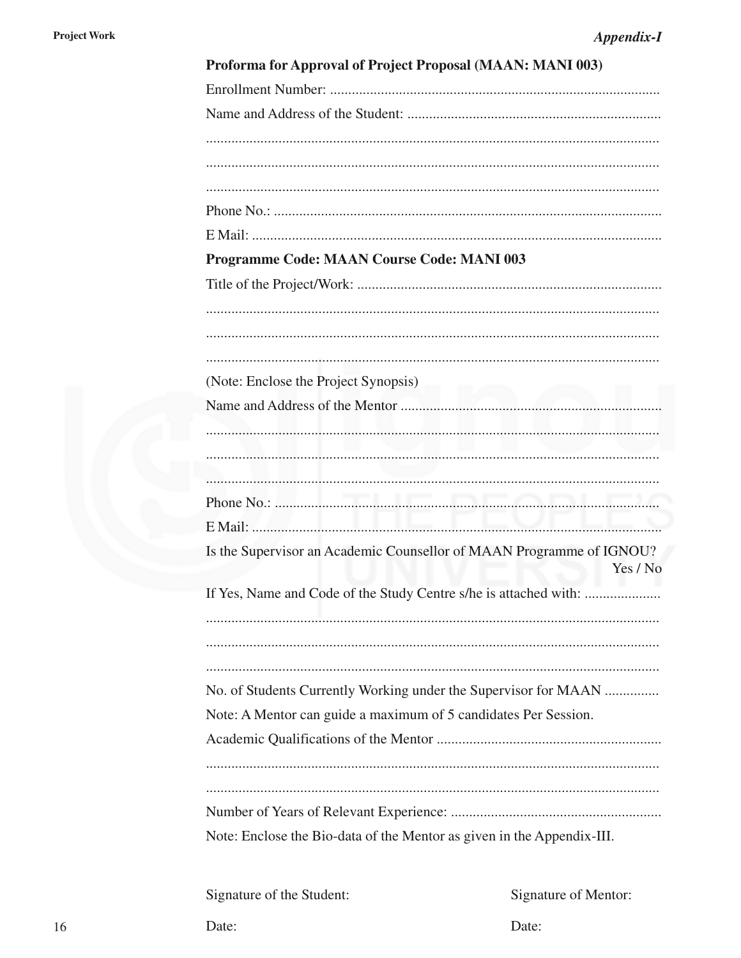| Proforma for Approval of Project Proposal (MAAN: MANI 003)                       |  |
|----------------------------------------------------------------------------------|--|
|                                                                                  |  |
|                                                                                  |  |
|                                                                                  |  |
|                                                                                  |  |
|                                                                                  |  |
|                                                                                  |  |
|                                                                                  |  |
| Programme Code: MAAN Course Code: MANI 003                                       |  |
|                                                                                  |  |
|                                                                                  |  |
|                                                                                  |  |
|                                                                                  |  |
| (Note: Enclose the Project Synopsis)                                             |  |
|                                                                                  |  |
|                                                                                  |  |
|                                                                                  |  |
|                                                                                  |  |
|                                                                                  |  |
|                                                                                  |  |
| Is the Supervisor an Academic Counsellor of MAAN Programme of IGNOU?<br>Yes / No |  |
|                                                                                  |  |
|                                                                                  |  |
|                                                                                  |  |
|                                                                                  |  |
| No. of Students Currently Working under the Supervisor for MAAN                  |  |
| Note: A Mentor can guide a maximum of 5 candidates Per Session.                  |  |
|                                                                                  |  |
|                                                                                  |  |
|                                                                                  |  |
|                                                                                  |  |
|                                                                                  |  |

| Signature of the Student: | Signature of Mentor: |
|---------------------------|----------------------|
| Date:                     | Date:                |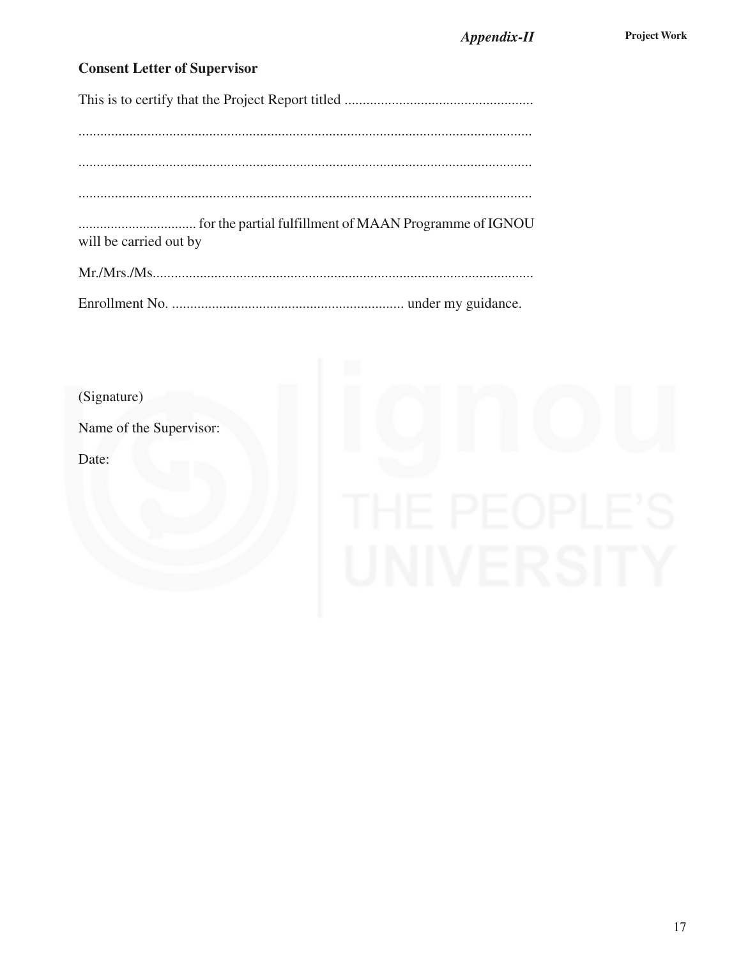### **Consent Letter of Supervisor**

| will be carried out by |
|------------------------|
|                        |
|                        |

(Signature)

Name of the Supervisor:

Date: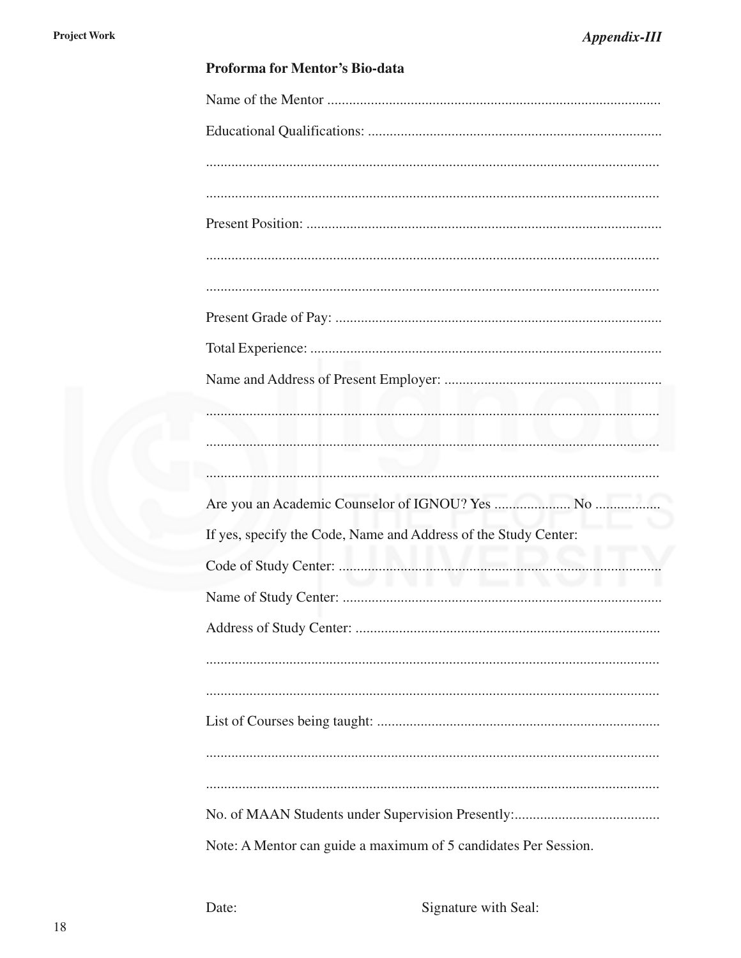| Proforma for Mentor's Bio-data                                  |
|-----------------------------------------------------------------|
|                                                                 |
|                                                                 |
|                                                                 |
|                                                                 |
|                                                                 |
|                                                                 |
|                                                                 |
|                                                                 |
|                                                                 |
|                                                                 |
|                                                                 |
|                                                                 |
|                                                                 |
|                                                                 |
| If yes, specify the Code, Name and Address of the Study Center: |
|                                                                 |
| Name of Study Center:                                           |
|                                                                 |
|                                                                 |
|                                                                 |
|                                                                 |
|                                                                 |
|                                                                 |
|                                                                 |
| Note: A Mentor can guide a maximum of 5 candidates Per Session. |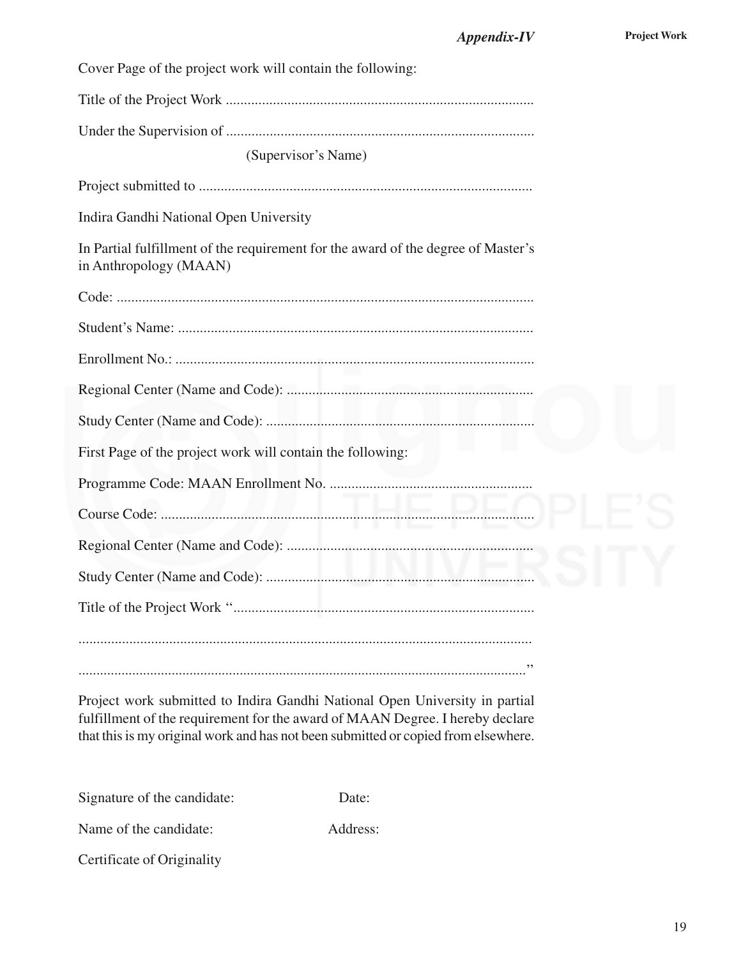| Cover Page of the project work will contain the following:                                                  |
|-------------------------------------------------------------------------------------------------------------|
|                                                                                                             |
|                                                                                                             |
| (Supervisor's Name)                                                                                         |
|                                                                                                             |
| Indira Gandhi National Open University                                                                      |
| In Partial fulfillment of the requirement for the award of the degree of Master's<br>in Anthropology (MAAN) |
|                                                                                                             |
|                                                                                                             |
|                                                                                                             |
|                                                                                                             |
|                                                                                                             |
| First Page of the project work will contain the following:                                                  |
|                                                                                                             |
|                                                                                                             |
|                                                                                                             |
|                                                                                                             |
|                                                                                                             |
|                                                                                                             |
|                                                                                                             |

Project work submitted to Indira Gandhi National Open University in partial fulfillment of the requirement for the award of MAAN Degree. I hereby declare that this is my original work and has not been submitted or copied from elsewhere.

| Signature of the candidate: | Date:    |
|-----------------------------|----------|
| Name of the candidate:      | Address: |
| Certificate of Originality  |          |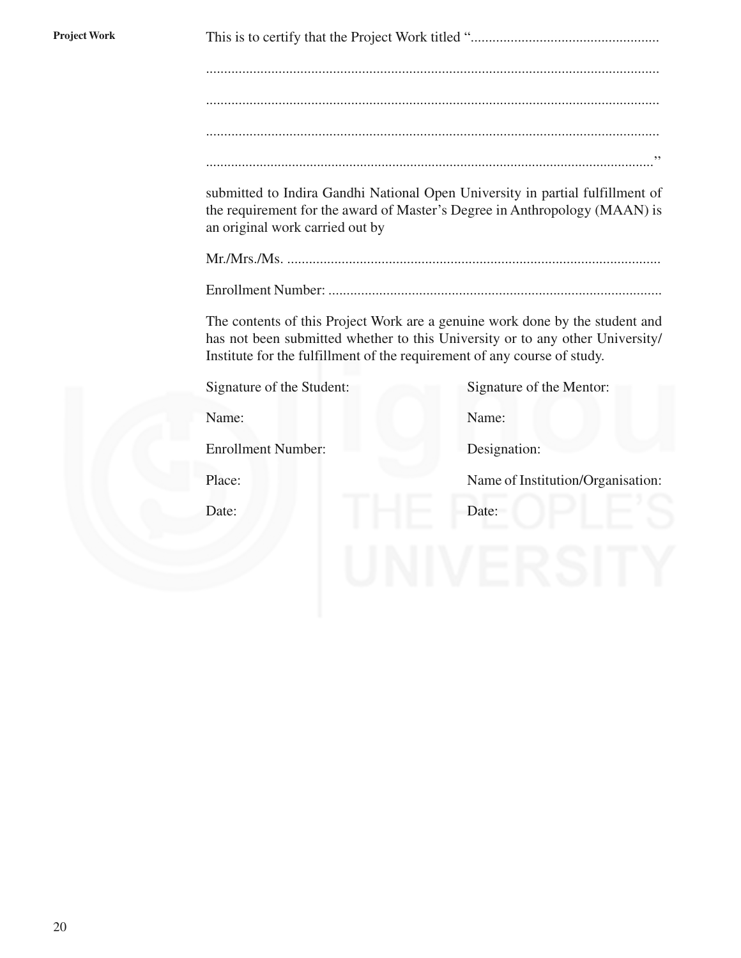**Project Work** This is to certify that the Project Work titled "....................................................

............................................................................................................................. ............................................................................................................................. ............................................................................................................................. .............................................................................................................................''

submitted to Indira Gandhi National Open University in partial fulfillment of the requirement for the award of Master's Degree in Anthropology (MAAN) is an original work carried out by

Mr./Mrs./Ms. .......................................................................................................

Enrollment Number: ............................................................................................

The contents of this Project Work are a genuine work done by the student and has not been submitted whether to this University or to any other University/ Institute for the fulfillment of the requirement of any course of study.

| Signature of the Student: | Signature of the Mentor:          |
|---------------------------|-----------------------------------|
| Name:                     | Name:                             |
| <b>Enrollment Number:</b> | Designation:                      |
| Place:                    | Name of Institution/Organisation: |
| Date:                     | Date:                             |
|                           |                                   |